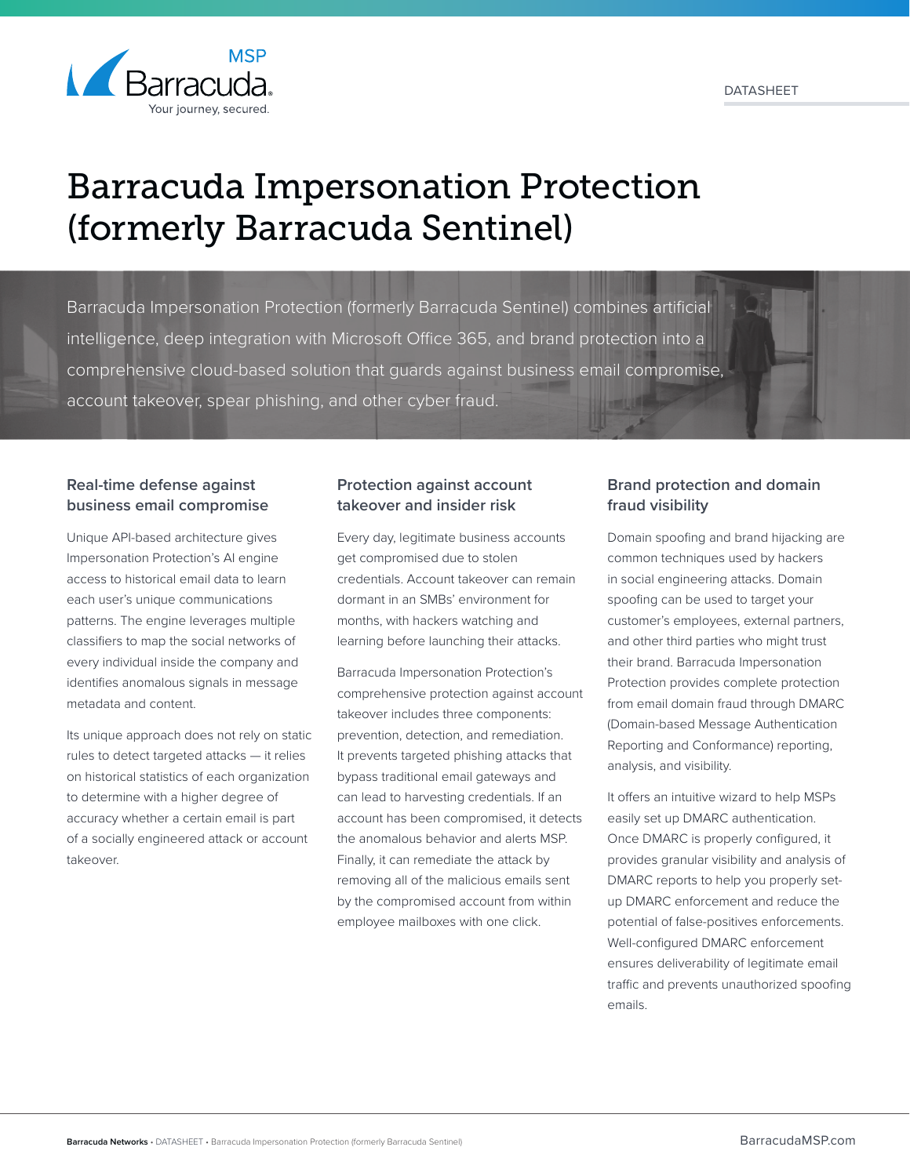

# Barracuda Impersonation Protection (formerly Barracuda Sentinel)

Barracuda Impersonation Protection (formerly Barracuda Sentinel) combines artificial intelligence, deep integration with Microsoft Office 365, and brand protection into a comprehensive cloud-based solution that guards against business email compromise, account takeover, spear phishing, and other cyber fraud.

## **Real-time defense against business email compromise**

Unique API-based architecture gives Impersonation Protection's AI engine access to historical email data to learn each user's unique communications patterns. The engine leverages multiple classifiers to map the social networks of every individual inside the company and identifies anomalous signals in message metadata and content.

Its unique approach does not rely on static rules to detect targeted attacks — it relies on historical statistics of each organization to determine with a higher degree of accuracy whether a certain email is part of a socially engineered attack or account takeover.

## **Protection against account takeover and insider risk**

Every day, legitimate business accounts get compromised due to stolen credentials. Account takeover can remain dormant in an SMBs' environment for months, with hackers watching and learning before launching their attacks.

Barracuda Impersonation Protection's comprehensive protection against account takeover includes three components: prevention, detection, and remediation. It prevents targeted phishing attacks that bypass traditional email gateways and can lead to harvesting credentials. If an account has been compromised, it detects the anomalous behavior and alerts MSP. Finally, it can remediate the attack by removing all of the malicious emails sent by the compromised account from within employee mailboxes with one click.

## **Brand protection and domain fraud visibility**

Domain spoofing and brand hijacking are common techniques used by hackers in social engineering attacks. Domain spoofing can be used to target your customer's employees, external partners, and other third parties who might trust their brand. Barracuda Impersonation Protection provides complete protection from email domain fraud through DMARC (Domain-based Message Authentication Reporting and Conformance) reporting, analysis, and visibility.

It offers an intuitive wizard to help MSPs easily set up DMARC authentication. Once DMARC is properly configured, it provides granular visibility and analysis of DMARC reports to help you properly setup DMARC enforcement and reduce the potential of false-positives enforcements. Well-configured DMARC enforcement ensures deliverability of legitimate email traffic and prevents unauthorized spoofing emails.